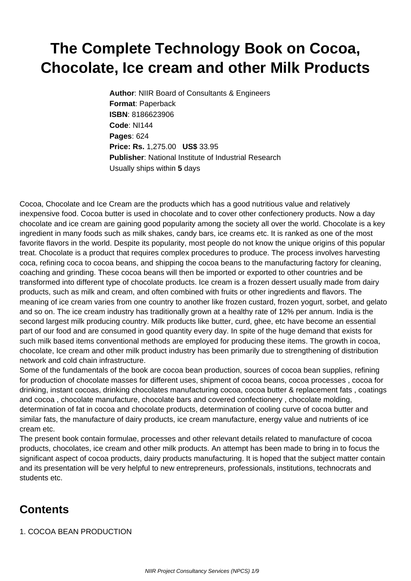## **The Complete Technology Book on Cocoa, Chocolate, Ice cream and other Milk Products**

**Author**: NIIR Board of Consultants & Engineers **Format**: Paperback **ISBN**: 8186623906 **Code**: NI144 **Pages**: 624 **Price: Rs.** 1,275.00 **US\$** 33.95 **Publisher**: National Institute of Industrial Research Usually ships within **5** days

Cocoa, Chocolate and Ice Cream are the products which has a good nutritious value and relatively inexpensive food. Cocoa butter is used in chocolate and to cover other confectionery products. Now a day chocolate and ice cream are gaining good popularity among the society all over the world. Chocolate is a key ingredient in many foods such as milk shakes, candy bars, ice creams etc. It is ranked as one of the most favorite flavors in the world. Despite its popularity, most people do not know the unique origins of this popular treat. Chocolate is a product that requires complex procedures to produce. The process involves harvesting coca, refining coca to cocoa beans, and shipping the cocoa beans to the manufacturing factory for cleaning, coaching and grinding. These cocoa beans will then be imported or exported to other countries and be transformed into different type of chocolate products. Ice cream is a frozen dessert usually made from dairy products, such as milk and cream, and often combined with fruits or other ingredients and flavors. The meaning of ice cream varies from one country to another like frozen custard, frozen yogurt, sorbet, and gelato and so on. The ice cream industry has traditionally grown at a healthy rate of 12% per annum. India is the second largest milk producing country. Milk products like butter, curd, ghee, etc have become an essential part of our food and are consumed in good quantity every day. In spite of the huge demand that exists for such milk based items conventional methods are employed for producing these items. The growth in cocoa, chocolate, Ice cream and other milk product industry has been primarily due to strengthening of distribution network and cold chain infrastructure.

Some of the fundamentals of the book are cocoa bean production, sources of cocoa bean supplies, refining for production of chocolate masses for different uses, shipment of cocoa beans, cocoa processes , cocoa for drinking, instant cocoas, drinking chocolates manufacturing cocoa, cocoa butter & replacement fats , coatings and cocoa , chocolate manufacture, chocolate bars and covered confectionery , chocolate molding, determination of fat in cocoa and chocolate products, determination of cooling curve of cocoa butter and similar fats, the manufacture of dairy products, ice cream manufacture, energy value and nutrients of ice cream etc.

The present book contain formulae, processes and other relevant details related to manufacture of cocoa products, chocolates, ice cream and other milk products. An attempt has been made to bring in to focus the significant aspect of cocoa products, dairy products manufacturing. It is hoped that the subject matter contain and its presentation will be very helpful to new entrepreneurs, professionals, institutions, technocrats and students etc.

## **Contents**

1. COCOA BEAN PRODUCTION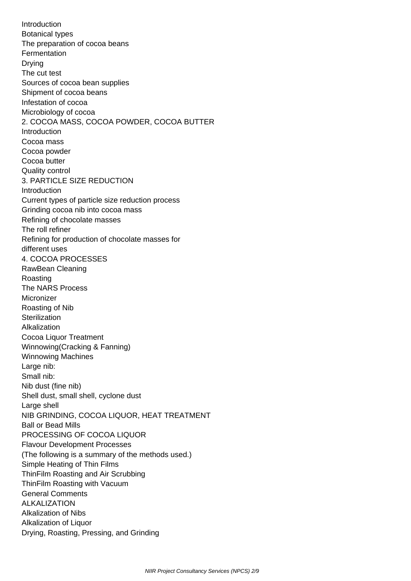Introduction Botanical types The preparation of cocoa beans **Fermentation**  Drying The cut test Sources of cocoa bean supplies Shipment of cocoa beans Infestation of cocoa Microbiology of cocoa 2. COCOA MASS, COCOA POWDER, COCOA BUTTER Introduction Cocoa mass Cocoa powder Cocoa butter Quality control 3. PARTICLE SIZE REDUCTION Introduction Current types of particle size reduction process Grinding cocoa nib into cocoa mass Refining of chocolate masses The roll refiner Refining for production of chocolate masses for different uses 4. COCOA PROCESSES RawBean Cleaning Roasting The NARS Process **Micronizer**  Roasting of Nib **Sterilization**  Alkalization Cocoa Liquor Treatment Winnowing(Cracking & Fanning) Winnowing Machines Large nib: Small nib: Nib dust (fine nib) Shell dust, small shell, cyclone dust Large shell NIB GRINDING, COCOA LIQUOR, HEAT TREATMENT Ball or Bead Mills PROCESSING OF COCOA LIQUOR Flavour Development Processes (The following is a summary of the methods used.) Simple Heating of Thin Films ThinFilm Roasting and Air Scrubbing ThinFilm Roasting with Vacuum General Comments ALKALIZATION Alkalization of Nibs Alkalization of Liquor Drying, Roasting, Pressing, and Grinding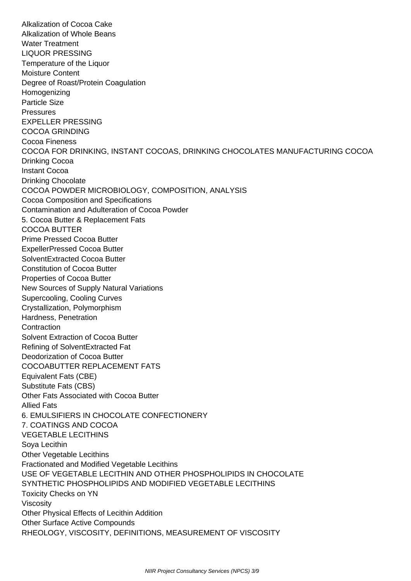Alkalization of Cocoa Cake Alkalization of Whole Beans Water Treatment LIQUOR PRESSING Temperature of the Liquor Moisture Content Degree of Roast/Protein Coagulation Homogenizing Particle Size **Pressures**  EXPELLER PRESSING COCOA GRINDING Cocoa Fineness COCOA FOR DRINKING, INSTANT COCOAS, DRINKING CHOCOLATES MANUFACTURING COCOA Drinking Cocoa Instant Cocoa Drinking Chocolate COCOA POWDER MICROBIOLOGY, COMPOSITION, ANALYSIS Cocoa Composition and Specifications Contamination and Adulteration of Cocoa Powder 5. Cocoa Butter & Replacement Fats COCOA BUTTER Prime Pressed Cocoa Butter ExpellerPressed Cocoa Butter SolventExtracted Cocoa Butter Constitution of Cocoa Butter Properties of Cocoa Butter New Sources of Supply Natural Variations Supercooling, Cooling Curves Crystallization, Polymorphism Hardness, Penetration **Contraction**  Solvent Extraction of Cocoa Butter Refining of SolventExtracted Fat Deodorization of Cocoa Butter COCOABUTTER REPLACEMENT FATS Equivalent Fats (CBE) Substitute Fats (CBS) Other Fats Associated with Cocoa Butter Allied Fats 6. EMULSIFIERS IN CHOCOLATE CONFECTIONERY 7. COATINGS AND COCOA VEGETABLE LECITHINS Soya Lecithin Other Vegetable Lecithins Fractionated and Modified Vegetable Lecithins USE OF VEGETABLE LECITHIN AND OTHER PHOSPHOLIPIDS IN CHOCOLATE SYNTHETIC PHOSPHOLIPIDS AND MODIFIED VEGETABLE LECITHINS Toxicity Checks on YN Viscosity Other Physical Effects of Lecithin Addition Other Surface Active Compounds RHEOLOGY, VISCOSITY, DEFINITIONS, MEASUREMENT OF VISCOSITY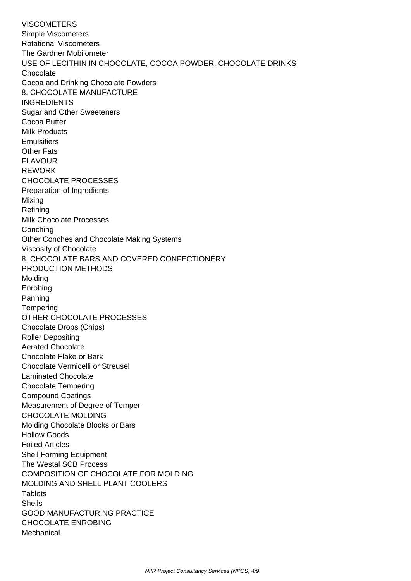**VISCOMETERS**  Simple Viscometers Rotational Viscometers The Gardner Mobilometer USE OF LECITHIN IN CHOCOLATE, COCOA POWDER, CHOCOLATE DRINKS **Chocolate**  Cocoa and Drinking Chocolate Powders 8. CHOCOLATE MANUFACTURE INGREDIENTS Sugar and Other Sweeteners Cocoa Butter Milk Products **Emulsifiers**  Other Fats FLAVOUR REWORK CHOCOLATE PROCESSES Preparation of Ingredients Mixing Refining Milk Chocolate Processes **Conching**  Other Conches and Chocolate Making Systems Viscosity of Chocolate 8. CHOCOLATE BARS AND COVERED CONFECTIONERY PRODUCTION METHODS Molding Enrobing Panning **Tempering**  OTHER CHOCOLATE PROCESSES Chocolate Drops (Chips) Roller Depositing Aerated Chocolate Chocolate Flake or Bark Chocolate Vermicelli or Streusel Laminated Chocolate Chocolate Tempering Compound Coatings Measurement of Degree of Temper CHOCOLATE MOLDING Molding Chocolate Blocks or Bars Hollow Goods Foiled Articles Shell Forming Equipment The Westal SCB Process COMPOSITION OF CHOCOLATE FOR MOLDING MOLDING AND SHELL PLANT COOLERS **Tablets**  Shells GOOD MANUFACTURING PRACTICE CHOCOLATE ENROBING **Mechanical**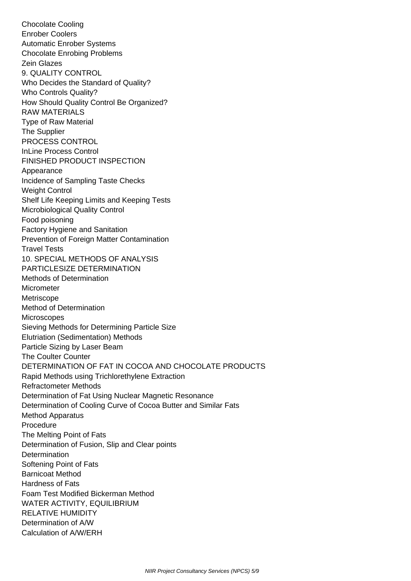Chocolate Cooling Enrober Coolers Automatic Enrober Systems Chocolate Enrobing Problems Zein Glazes 9. QUALITY CONTROL Who Decides the Standard of Quality? Who Controls Quality? How Should Quality Control Be Organized? RAW MATERIALS Type of Raw Material The Supplier PROCESS CONTROL InLine Process Control FINISHED PRODUCT INSPECTION Appearance Incidence of Sampling Taste Checks Weight Control Shelf Life Keeping Limits and Keeping Tests Microbiological Quality Control Food poisoning Factory Hygiene and Sanitation Prevention of Foreign Matter Contamination Travel Tests 10. SPECIAL METHODS OF ANALYSIS PARTICLESIZE DETERMINATION Methods of Determination **Micrometer Metriscope**  Method of Determination **Microscopes**  Sieving Methods for Determining Particle Size Elutriation (Sedimentation) Methods Particle Sizing by Laser Beam The Coulter Counter DETERMINATION OF FAT IN COCOA AND CHOCOLATE PRODUCTS Rapid Methods using Trichlorethylene Extraction Refractometer Methods Determination of Fat Using Nuclear Magnetic Resonance Determination of Cooling Curve of Cocoa Butter and Similar Fats Method Apparatus Procedure The Melting Point of Fats Determination of Fusion, Slip and Clear points **Determination**  Softening Point of Fats Barnicoat Method Hardness of Fats Foam Test Modified Bickerman Method WATER ACTIVITY, EQUILIBRIUM RELATIVE HUMIDITY Determination of A/W Calculation of A/W/ERH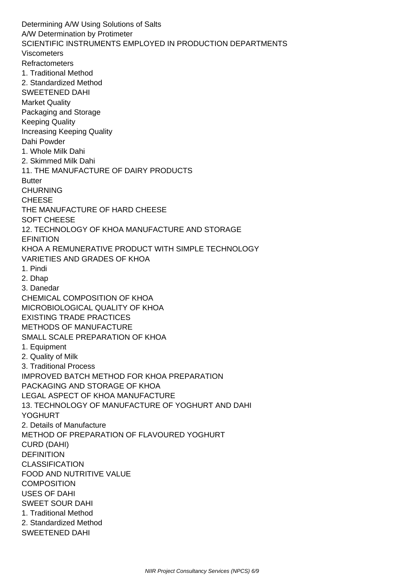Determining A/W Using Solutions of Salts A/W Determination by Protimeter SCIENTIFIC INSTRUMENTS EMPLOYED IN PRODUCTION DEPARTMENTS Viscometers Refractometers 1. Traditional Method 2. Standardized Method SWEETENED DAHI Market Quality Packaging and Storage Keeping Quality Increasing Keeping Quality Dahi Powder 1. Whole Milk Dahi 2. Skimmed Milk Dahi 11. THE MANUFACTURE OF DAIRY PRODUCTS **Butter**  CHURNING CHEESE THE MANUFACTURE OF HARD CHEESE SOFT CHEESE 12. TECHNOLOGY OF KHOA MANUFACTURE AND STORAGE **EFINITION**  KHOA A REMUNERATIVE PRODUCT WITH SIMPLE TECHNOLOGY VARIETIES AND GRADES OF KHOA 1. Pindi 2. Dhap 3. Danedar CHEMICAL COMPOSITION OF KHOA MICROBIOLOGICAL QUALITY OF KHOA EXISTING TRADE PRACTICES METHODS OF MANUFACTURE SMALL SCALE PREPARATION OF KHOA 1. Equipment 2. Quality of Milk 3. Traditional Process IMPROVED BATCH METHOD FOR KHOA PREPARATION PACKAGING AND STORAGE OF KHOA LEGAL ASPECT OF KHOA MANUFACTURE 13. TECHNOLOGY OF MANUFACTURE OF YOGHURT AND DAHI YOGHURT 2. Details of Manufacture METHOD OF PREPARATION OF FLAVOURED YOGHURT CURD (DAHI) **DEFINITION CLASSIFICATION**  FOOD AND NUTRITIVE VALUE **COMPOSITION**  USES OF DAHI SWEET SOUR DAHI 1. Traditional Method 2. Standardized Method SWEETENED DAHI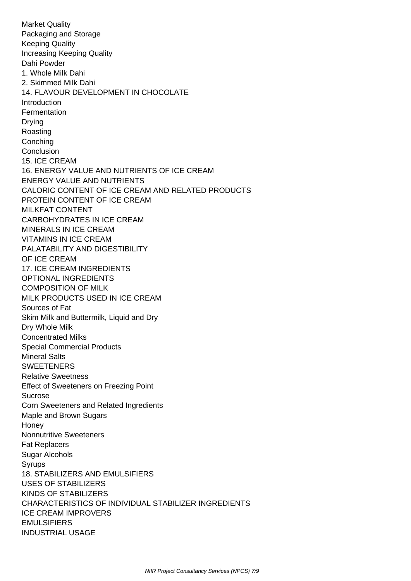Market Quality Packaging and Storage Keeping Quality Increasing Keeping Quality Dahi Powder 1. Whole Milk Dahi 2. Skimmed Milk Dahi 14. FLAVOUR DEVELOPMENT IN CHOCOLATE Introduction **Fermentation**  Drying Roasting Conching Conclusion 15. ICE CREAM 16. ENERGY VALUE AND NUTRIENTS OF ICE CREAM ENERGY VALUE AND NUTRIENTS CALORIC CONTENT OF ICE CREAM AND RELATED PRODUCTS PROTEIN CONTENT OF ICE CREAM MILKFAT CONTENT CARBOHYDRATES IN ICE CREAM MINERALS IN ICE CREAM VITAMINS IN ICE CREAM PALATABILITY AND DIGESTIBILITY OF ICE CREAM 17. ICE CREAM INGREDIENTS OPTIONAL INGREDIENTS COMPOSITION OF MILK MILK PRODUCTS USED IN ICE CREAM Sources of Fat Skim Milk and Buttermilk, Liquid and Dry Dry Whole Milk Concentrated Milks Special Commercial Products Mineral Salts **SWEETENERS**  Relative Sweetness Effect of Sweeteners on Freezing Point Sucrose Corn Sweeteners and Related Ingredients Maple and Brown Sugars **Honey**  Nonnutritive Sweeteners Fat Replacers Sugar Alcohols Syrups 18. STABILIZERS AND EMULSIFIERS USES OF STABILIZERS KINDS OF STABILIZERS CHARACTERISTICS OF INDIVIDUAL STABILIZER INGREDIENTS ICE CREAM IMPROVERS EMULSIFIERS INDUSTRIAL USAGE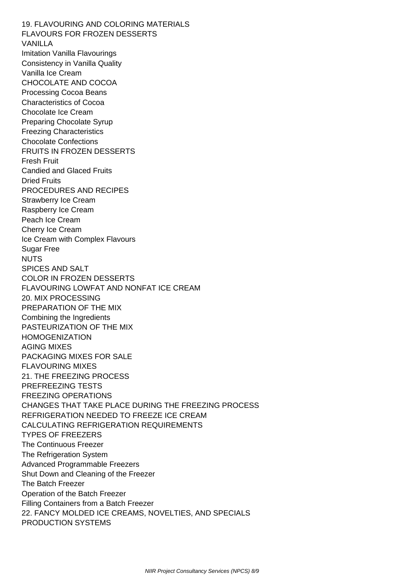19. FLAVOURING AND COLORING MATERIALS FLAVOURS FOR FROZEN DESSERTS VANILLA Imitation Vanilla Flavourings Consistency in Vanilla Quality Vanilla Ice Cream CHOCOLATE AND COCOA Processing Cocoa Beans Characteristics of Cocoa Chocolate Ice Cream Preparing Chocolate Syrup Freezing Characteristics Chocolate Confections FRUITS IN FROZEN DESSERTS Fresh Fruit Candied and Glaced Fruits Dried Fruits PROCEDURES AND RECIPES Strawberry Ice Cream Raspberry Ice Cream Peach Ice Cream Cherry Ice Cream Ice Cream with Complex Flavours Sugar Free NUTS SPICES AND SALT COLOR IN FROZEN DESSERTS FLAVOURING LOWFAT AND NONFAT ICE CREAM 20. MIX PROCESSING PREPARATION OF THE MIX Combining the Ingredients PASTEURIZATION OF THE MIX HOMOGENIZATION AGING MIXES PACKAGING MIXES FOR SALE FLAVOURING MIXES 21. THE FREEZING PROCESS PREFREEZING TESTS FREEZING OPERATIONS CHANGES THAT TAKE PLACE DURING THE FREEZING PROCESS REFRIGERATION NEEDED TO FREEZE ICE CREAM CALCULATING REFRIGERATION REQUIREMENTS TYPES OF FREEZERS The Continuous Freezer The Refrigeration System Advanced Programmable Freezers Shut Down and Cleaning of the Freezer The Batch Freezer Operation of the Batch Freezer Filling Containers from a Batch Freezer 22. FANCY MOLDED ICE CREAMS, NOVELTIES, AND SPECIALS PRODUCTION SYSTEMS